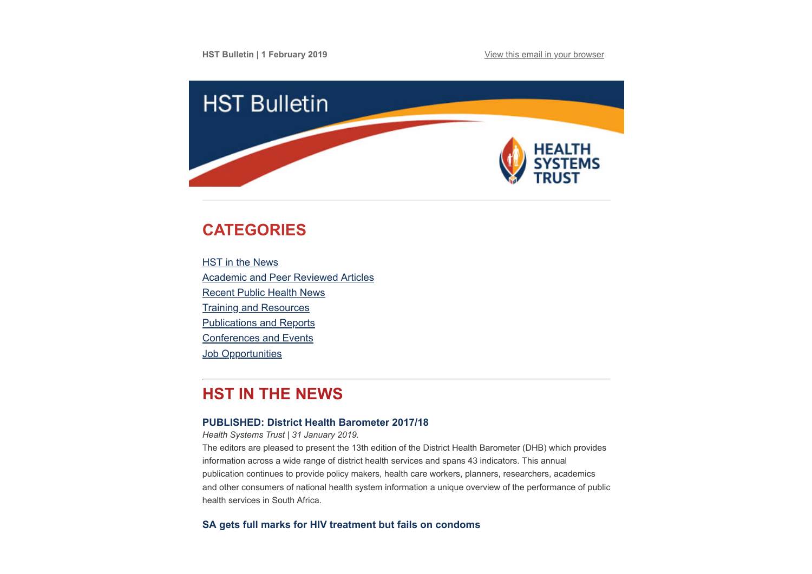

# <span id="page-0-0"></span>**CATEGORIES**

**HST** in the News [Academic and Peer Reviewed Articles](#page-1-0) [Recent Public Health News](#page-3-0) [Training and Resources](#page-4-0) [Publications and Reports](#page-4-1) [Conferences and Events](#page-5-0) **Job Opportunities** 

# **HST IN THE NEWS**

### **[PUBLISHED: District Health Barometer 2017/18](http://www.hst.org.za/publications/Pages/DHB20172018.aspx)**

*Health Systems Trust | 31 January 2019.*

The editors are pleased to present the 13th edition of the District Health Barometer (DHB) which provides information across a wide range of district health services and spans 43 indicators. This annual publication continues to provide policy makers, health care workers, planners, researchers, academics and other consumers of national health system information a unique overview of the performance of public health services in South Africa.

**[SA gets full marks for HIV treatment but fails on condoms](https://www.health-e.org.za/2019/01/31/sa-gets-full-marks-for-hiv-treatment-but-fails-on-condoms/)**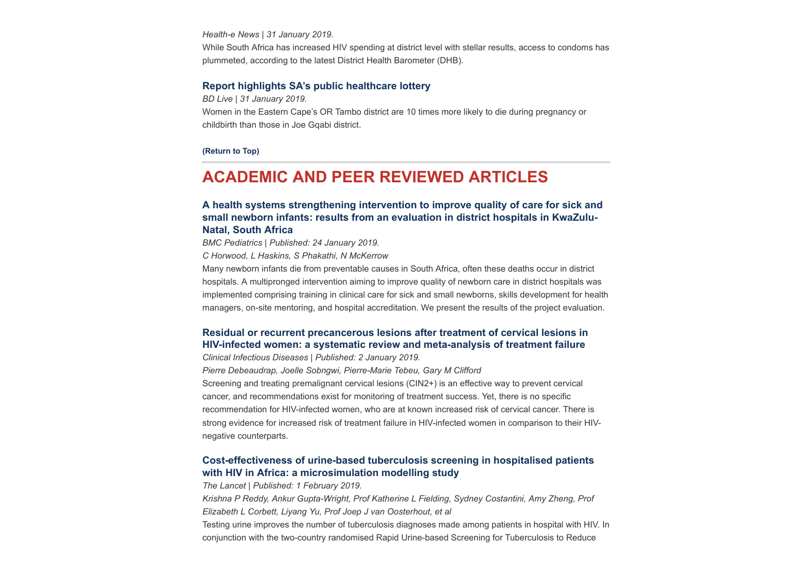*Health-e News | 31 January 2019.* While South Africa has increased HIV spending at district level with stellar results, access to condoms has plummeted, according to the latest District Health Barometer (DHB).

#### **[Report highlights SA's public healthcare lottery](https://www.businesslive.co.za/bd/national/health/2019-01-31-report-highlights-sas-public-healthcare-lottery/)**

*BD Live | 31 January 2019.*

Women in the Eastern Cape's OR Tambo district are 10 times more likely to die during pregnancy or childbirth than those in Joe Gqabi district.

**[\(Return to Top\)](#page-0-0)**

## <span id="page-1-0"></span>**ACADEMIC AND PEER REVIEWED ARTICLES**

### **[A health systems strengthening intervention to improve quality of care for sick and](https://bmcpediatr.biomedcentral.com/articles/10.1186/s12887-019-1396-8) small newborn infants: results from an evaluation in district hospitals in KwaZulu-Natal, South Africa**

*BMC Pediatrics | Published: 24 January 2019.*

*C Horwood, L Haskins, S Phakathi, N McKerrow*

Many newborn infants die from preventable causes in South Africa, often these deaths occur in district hospitals. A multipronged intervention aiming to improve quality of newborn care in district hospitals was implemented comprising training in clinical care for sick and small newborns, skills development for health managers, on-site mentoring, and hospital accreditation. We present the results of the project evaluation.

## **[Residual or recurrent precancerous lesions after treatment of cervical lesions in](https://academic.oup.com/cid/advance-article/doi/10.1093/cid/ciy1123/5269500) HIV-infected women: a systematic review and meta-analysis of treatment failure**

*Clinical Infectious Diseases | Published: 2 January 2019.* 

*Pierre Debeaudrap, Joelle Sobngwi, Pierre-Marie Tebeu, Gary M Clifford*

Screening and treating premalignant cervical lesions (CIN2+) is an effective way to prevent cervical cancer, and recommendations exist for monitoring of treatment success. Yet, there is no specific recommendation for HIV-infected women, who are at known increased risk of cervical cancer. There is strong evidence for increased risk of treatment failure in HIV-infected women in comparison to their HIVnegative counterparts.

### **[Cost-effectiveness of urine-based tuberculosis screening in hospitalised patients](https://www.thelancet.com/journals/langlo/article/PIIS2214-109X(18)30436-4/fulltext) with HIV in Africa: a microsimulation modelling study**

*The Lancet | Published: 1 February 2019.*

*Krishna P Reddy, Ankur Gupta-Wright, Prof Katherine L Fielding, Sydney Costantini, Amy Zheng, Prof Elizabeth L Corbett, Liyang Yu, Prof Joep J van Oosterhout, et al*

Testing urine improves the number of tuberculosis diagnoses made among patients in hospital with HIV. In conjunction with the two-country randomised Rapid Urine-based Screening for Tuberculosis to Reduce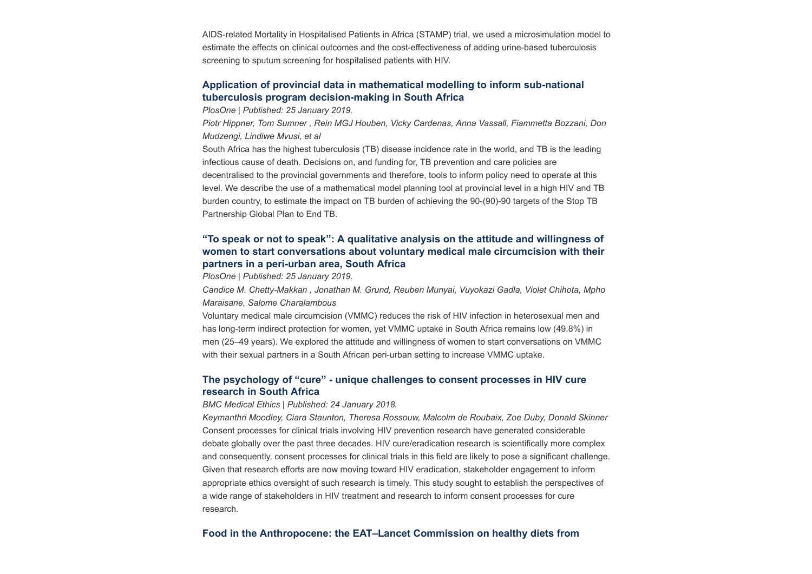AIDS-related Mortality in Hospitalised Patients in Africa (STAMP) trial, we used a microsimulation model to estimate the effects on clinical outcomes and the cost-effectiveness of adding urine-based tuberculosis screening to sputum screening for hospitalised patients with HIV.

### **[Application of provincial data in mathematical modelling to inform sub-national](https://journals.plos.org/plosone/article?id=10.1371/journal.pone.0209320) tuberculosis program decision-making in South Africa**

*PlosOne | Published: 25 January 2019.*

*Piotr Hippner, Tom Sumner , Rein MGJ Houben, Vicky Cardenas, Anna Vassall, Fiammetta Bozzani, Don Mudzengi, Lindiwe Mvusi, et al*

South Africa has the highest tuberculosis (TB) disease incidence rate in the world, and TB is the leading infectious cause of death. Decisions on, and funding for, TB prevention and care policies are decentralised to the provincial governments and therefore, tools to inform policy need to operate at this level. We describe the use of a mathematical model planning tool at provincial level in a high HIV and TB burden country, to estimate the impact on TB burden of achieving the 90-(90)-90 targets of the Stop TB Partnership Global Plan to End TB.

### **"To speak or not to speak": A qualitative analysis on the attitude and willingness of [women to start conversations about voluntary medical male circumcision with their](https://journals.plos.org/plosone/article?id=10.1371/journal.pone.0210480) partners in a peri-urban area, South Africa**

*PlosOne | Published: 25 January 2019.*

*Candice M. Chetty-Makkan , Jonathan M. Grund, Reuben Munyai, Vuyokazi Gadla, Violet Chihota, Mpho Maraisane, Salome Charalambous*

Voluntary medical male circumcision (VMMC) reduces the risk of HIV infection in heterosexual men and has long-term indirect protection for women, yet VMMC uptake in South Africa remains low (49.8%) in men (25–49 years). We explored the attitude and willingness of women to start conversations on VMMC with their sexual partners in a South African peri-urban setting to increase VMMC uptake.

## **[The psychology of "cure" - unique challenges to consent processes in HIV cure](https://bmcmedethics.biomedcentral.com/articles/10.1186/s12910-019-0348-z) research in South Africa**

#### *BMC Medical Ethics | Published: 24 January 2018.*

*Keymanthri Moodley, Ciara Staunton, Theresa Rossouw, Malcolm de Roubaix, Zoe Duby, Donald Skinner* Consent processes for clinical trials involving HIV prevention research have generated considerable debate globally over the past three decades. HIV cure/eradication research is scientifically more complex and consequently, consent processes for clinical trials in this field are likely to pose a significant challenge. Given that research efforts are now moving toward HIV eradication, stakeholder engagement to inform appropriate ethics oversight of such research is timely. This study sought to establish the perspectives of a wide range of stakeholders in HIV treatment and research to inform consent processes for cure research*.*

#### **[Food in the Anthropocene: the EAT–Lancet Commission on healthy diets from](https://www.thelancet.com/journals/lancet/article/PIIS0140-6736(18)31788-4/fulltext)**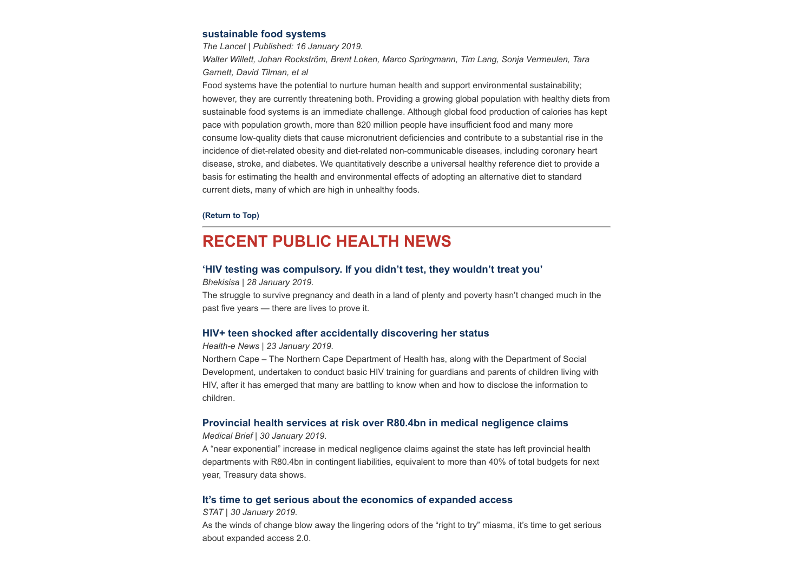#### **[sustainable food systems](https://www.thelancet.com/journals/lancet/article/PIIS0140-6736(18)31788-4/fulltext)**

*The Lancet | Published: 16 January 2019.*

*Walter Willett, Johan Rockström, Brent Loken, Marco Springmann, Tim Lang, Sonja Vermeulen, Tara Garnett, David Tilman, et al*

Food systems have the potential to nurture human health and support environmental sustainability; however, they are currently threatening both. Providing a growing global population with healthy diets from sustainable food systems is an immediate challenge. Although global food production of calories has kept pace with population growth, more than 820 million people have insufficient food and many more consume low-quality diets that cause micronutrient deficiencies and contribute to a substantial rise in the incidence of diet-related obesity and diet-related non-communicable diseases, including coronary heart disease, stroke, and diabetes. We quantitatively describe a universal healthy reference diet to provide a basis for estimating the health and environmental effects of adopting an alternative diet to standard current diets, many of which are high in unhealthy foods.

#### **[\(Return to Top\)](#page-0-0)**

## <span id="page-3-0"></span>**RECENT PUBLIC HEALTH NEWS**

#### **['HIV testing was compulsory. If you didn't test, they wouldn't treat you'](https://bhekisisa.org/article/2019-01-28-00-south-africa-maternal-deaths-audit-antenatal-care-amnesty-international)**

*Bhekisisa | 28 January 2019.*

The struggle to survive pregnancy and death in a land of plenty and poverty hasn't changed much in the past five years — there are lives to prove it.

#### **[HIV+ teen shocked after accidentally discovering her status](https://www.health-e.org.za/2019/01/23/teen-discovers-hiv-status-from-her-patient-file/)**

#### *Health-e News | 23 January 2019.*

Northern Cape – The Northern Cape Department of Health has, along with the Department of Social Development, undertaken to conduct basic HIV training for guardians and parents of children living with HIV, after it has emerged that many are battling to know when and how to disclose the information to children.

#### **[Provincial health services at risk over R80.4bn in medical negligence claims](https://www.medicalbrief.co.za/archives/provincial-health-services-risk-r80-4bn-medical-negligence-claims/)**

*Medical Brief | 30 January 2019*.

A "near exponential" increase in medical negligence claims against the state has left provincial health departments with R80.4bn in contingent liabilities, equivalent to more than 40% of total budgets for next year, Treasury data shows.

#### **[It's time to get serious about the economics of expanded access](https://www.statnews.com/2019/01/30/get-serious-economics-expanded-access/?utm_source=STAT+Newsletters&utm_campaign=6e34cf572e-Pharmalot&utm_medium=email&utm_term=0_8cab1d7961-6e34cf572e-149648021)**

#### *STAT | 30 January 2019.*

As the winds of change blow away the lingering odors of the "right to try" miasma, it's time to get serious about expanded access 2.0.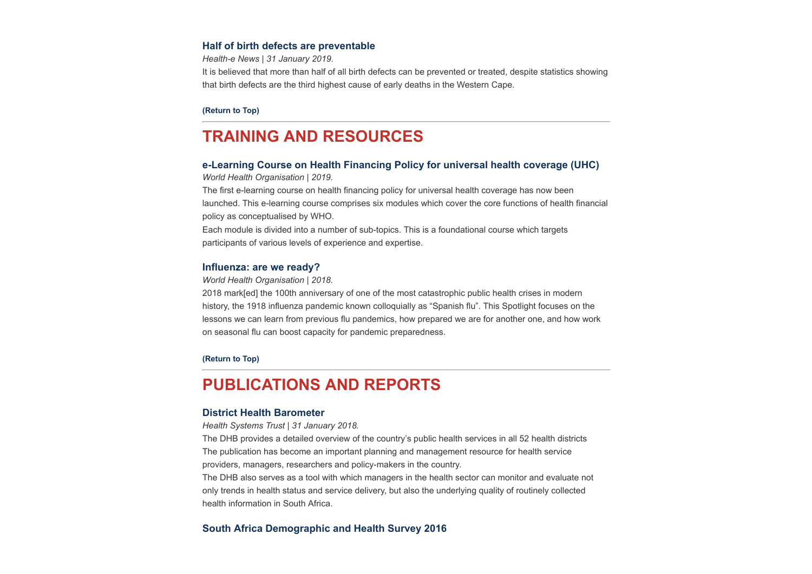#### **[Half of birth defects are preventable](https://www.health-e.org.za/2019/01/31/half-of-birth-defects-are-preventable/)**

*Health-e News | 31 January 2019.*

It is believed that more than half of all birth defects can be prevented or treated, despite statistics showing that birth defects are the third highest cause of early deaths in the Western Cape.

#### **[\(Return to Top\)](#page-0-0)**

## <span id="page-4-0"></span>**TRAINING AND RESOURCES**

### **[e-Learning Course on Health Financing Policy for universal health coverage \(UHC\)](https://www.who.int/health_financing/training/e-learning-course-on-health-financing-policy-for-uhc/en/)**

*World Health Organisation | 2019.*

The first e-learning course on health financing policy for universal health coverage has now been launched. This e-learning course comprises six modules which cover the core functions of health financial policy as conceptualised by WHO.

Each module is divided into a number of sub-topics. This is a foundational course which targets participants of various levels of experience and expertise.

#### **[Influenza: are we ready?](https://www.who.int/influenza/spotlight)**

*World Health Organisation | 2018.*

2018 mark[ed] the 100th anniversary of one of the most catastrophic public health crises in modern history, the 1918 influenza pandemic known colloquially as "Spanish flu". This Spotlight focuses on the lessons we can learn from previous flu pandemics, how prepared we are for another one, and how work on seasonal flu can boost capacity for pandemic preparedness.

**[\(Return to Top\)](#page-0-0)**

## <span id="page-4-1"></span>**PUBLICATIONS AND REPORTS**

#### **[District Health Barometer](http://www.hst.org.za/publications/Pages/DHB20172018.aspx)**

*Health Systems Trust | 31 January 2018.*

The DHB provides a detailed overview of the country's public health services in all 52 health districts The publication has become an important planning and management resource for health service providers, managers, researchers and policy-makers in the country.

The DHB also serves as a tool with which managers in the health sector can monitor and evaluate not only trends in health status and service delivery, but also the underlying quality of routinely collected health information in South Africa.

#### **[South Africa Demographic and Health Survey 2016](http://www.hst.org.za/publications/NonHST%20Publications/SADHS2016%201.pdf)**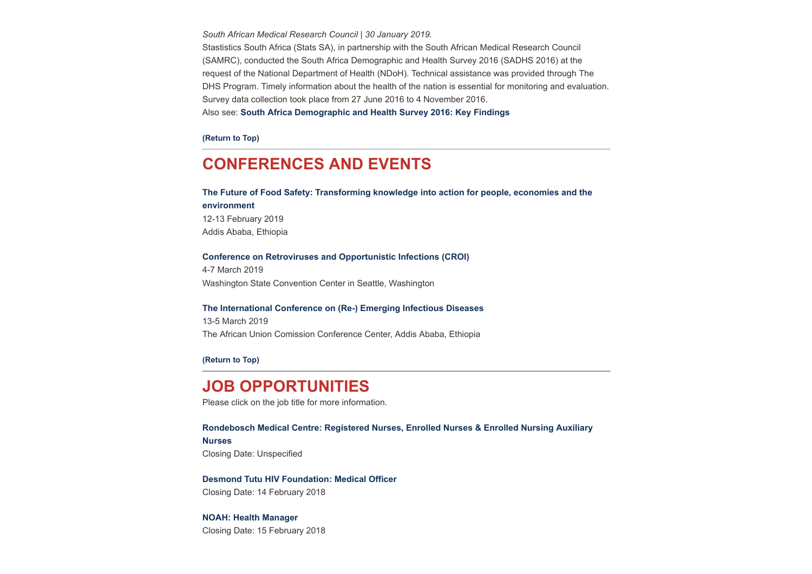*South African Medical Research Council | 30 January 2019.* Stastistics South Africa (Stats SA), in partnership with the South African Medical Research Council (SAMRC), conducted the South Africa Demographic and Health Survey 2016 (SADHS 2016) at the request of the National Department of Health (NDoH). Technical assistance was provided through The DHS Program. Timely information about the health of the nation is essential for monitoring and evaluation. Survey data collection took place from 27 June 2016 to 4 November 2016. Also see: **[South Africa Demographic and Health Survey 2016: Key Findings](http://www.hst.org.za/publications/NonHST%20Publications/South%20Africa%20Demographic%20and%20Health%20Survey%202016%20Key%20Findings.pdf)**

**[\(Return to Top\)](#page-0-0)**

## <span id="page-5-0"></span>**CONFERENCES AND EVENTS**

**[The Future of Food Safety: Transforming knowledge into action for people, economies and the](http://www.hst.org.za/Lists/HST%20Events/DispForm.aspx?ID=34) environment** 12-13 February 2019 Addis Ababa, Ethiopia

#### **[Conference on Retroviruses and Opportunistic Infections \(CROI\)](http://www.hst.org.za/Lists/HST%20Events/DispForm.aspx?ID=38)**

4-7 March 2019 Washington State Convention Center in Seattle, Washington

#### **[The International Conference on \(Re-\) Emerging Infectious Diseases](http://www.hst.org.za/Lists/HST%20Events/DispForm.aspx?ID=40)**

13-5 March 2019 The African Union Comission Conference Center, Addis Ababa, Ethiopia

**[\(Return to Top\)](#page-0-0)**

## **JOB OPPORTUNITIES**

Please click on the job title for more information.

#### **[Rondebosch Medical Centre: Registered Nurses, Enrolled Nurses & Enrolled Nursing Auxiliary](https://www.medicalbrief.co.za/archives/nursing-services-manager-3/)**

**Nurses**

Closing Date: Unspecified

**[Desmond Tutu HIV Foundation: Medical Officer](https://www.medicalbrief.co.za/archives/careers/medical-officer/)** Closing Date: 14 February 2018

#### **[NOAH: Health Manager](http://www.ngopulse.org/opportunity/2019/01/18/health-manager-0)**

Closing Date: 15 February 2018